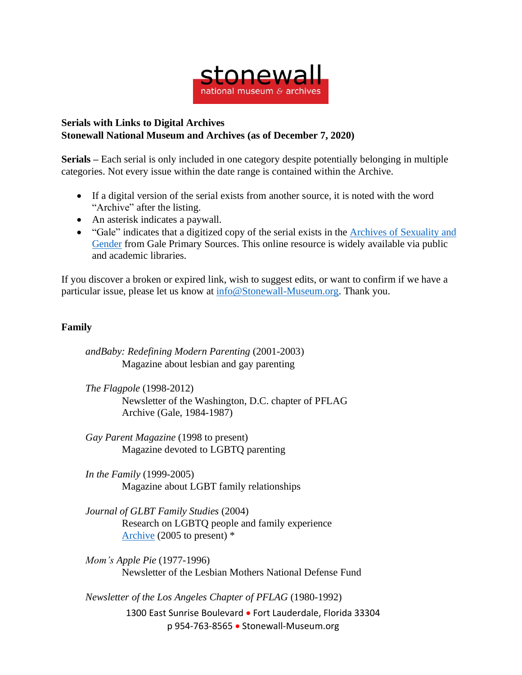

## **Serials with Links to Digital Archives Stonewall National Museum and Archives (as of December 7, 2020)**

**Serials –** Each serial is only included in one category despite potentially belonging in multiple categories. Not every issue within the date range is contained within the Archive.

- If a digital version of the serial exists from another source, it is noted with the word "Archive" after the listing.
- An asterisk indicates a paywall.
- "Gale" indicates that a digitized copy of the serial exists in the Archives of [Sexuality](https://www.gale.com/primary-sources/archives-of-sexuality-and-gender) and [Gender](https://www.gale.com/primary-sources/archives-of-sexuality-and-gender) from Gale Primary Sources. This online resource is widely available via public and academic libraries.

If you discover a broken or expired link, wish to suggest edits, or want to confirm if we have a particular issue, please let us know at [info@Stonewall-Museum.org.](mailto:info@Stonewall-Museum.org) Thank you.

## **Family**

*andBaby: Redefining Modern Parenting* (2001-2003) Magazine about lesbian and gay parenting

*The Flagpole* (1998-2012) Newsletter of the Washington, D.C. chapter of PFLAG Archive (Gale, 1984-1987)

*Gay Parent Magazine* (1998 to present) Magazine devoted to LGBTQ parenting

*In the Family* (1999-2005) Magazine about LGBT family relationships

*Journal of GLBT Family Studies* (2004) Research on LGBTQ people and family experience [Archive](https://www.tandfonline.com/loi/wgfs20) (2005 to present) \*

*Mom's Apple Pie* (1977-1996) Newsletter of the Lesbian Mothers National Defense Fund

*Newsletter of the Los Angeles Chapter of PFLAG* (1980-1992)

1300 East Sunrise Boulevard • Fort Lauderdale, Florida 33304 p 954-763-8565 • Stonewall-Museum.org